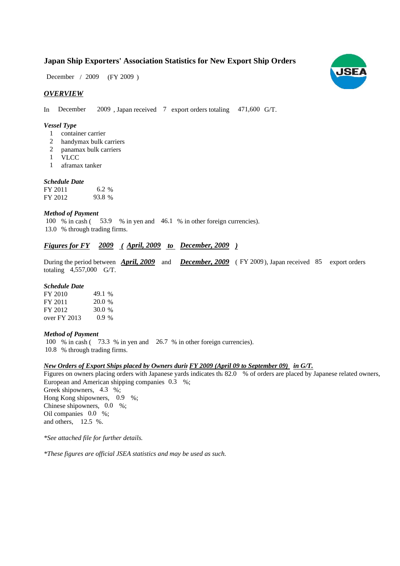# **Japan Ship Exporters' Association Statistics for New Export Ship Orders**

 $(FY 2009)$ December / 2009

### *OVERVIEW*

In December 2009, Japan received 7 export orders totaling 471,600 G/T.

#### *Vessel Type*

- container carrier 1
- handymax bulk carriers 2
- panamax bulk carriers 2
- VLCC 1
- aframax tanker 1

#### *Schedule Date*

| FY 2011 | 6.2 %  |
|---------|--------|
| FY 2012 | 93.8 % |

#### *Method of Payment*

100 % in cash (53.9 % in yen and 46.1 % in other foreign currencies). % through trading firms. 13.0

# *<u><i>Figures for FY 2009 (April, 2009 to December, 2009)*</u>

During the period between **April, 2009** and **December, 2009** (FY 2009), Japan received 85 export orders totaling  $4,557,000$  G/T.

#### *Schedule Date*

| FY 2010        | 49.1 %  |
|----------------|---------|
| FY 2011        | 20.0 %  |
| FY 2012        | 30.0%   |
| over $FY$ 2013 | $0.9\%$ |

#### *Method of Payment*

100 % in cash (73.3 % in yen and 26.7 % in other foreign currencies). % through trading firms. 10.8

#### *New Orders of Export Ships placed by Owners durin in G/T. FY 2009 (April 09 to September 09)*

Figures on owners placing orders with Japanese yards indicates th: 82.0 % of orders are placed by Japanese related owners, European and American shipping companies 0.3 %; Greek shipowners, 4.3 %; Hong Kong shipowners, 0.9 %; Chinese shipowners,  $0.0\%$ ; Oil companies 0.0 %; and others,  $12.5\%$ .

*\*See attached file for further details.*

*\*These figures are official JSEA statistics and may be used as such.*

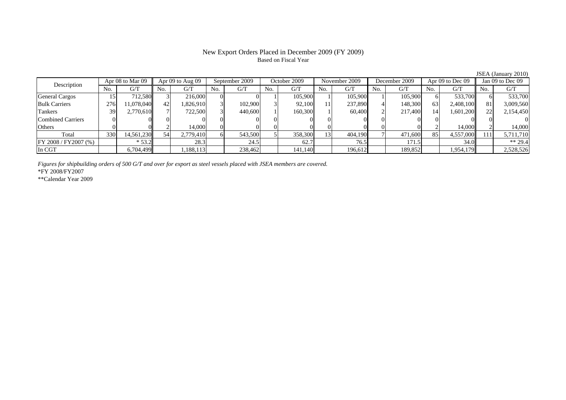# New Export Orders Placed in December 2009 (FY 2009) Based on Fiscal Year

JSEA (January 2010)

| Description              |     | Apr 08 to Mar 09 |     | Apr $09$ to Aug $09$ | September 2009 |         | October 2009 |         | November 2009 |         | December 2009 |         | Apr $09$ to Dec $09$ |           | Jan 09 to Dec 09 |           |
|--------------------------|-----|------------------|-----|----------------------|----------------|---------|--------------|---------|---------------|---------|---------------|---------|----------------------|-----------|------------------|-----------|
|                          | No. | G/T              | No. | G/T                  | No.            | G/T     | No.          | G/T     | No.           | G/T     | No.           | G/T     | No.                  | G/T       | No.              | G/T       |
| <b>General Cargos</b>    |     | 712.580          |     | 216,000              |                |         |              | 105,900 |               | 105,900 |               | 105,900 |                      | 533,700   |                  | 533,700   |
| <b>Bulk Carriers</b>     | 276 | 11,078,040       |     | 1,826,910            |                | 102,900 |              | 92.100  |               | 237,890 |               | 148,300 | 63                   | 2,408,100 | 81               | 3,009,560 |
| <b>Tankers</b>           | 39  | 2,770,610        |     | 722,500              |                | 440,600 |              | 160,300 |               | 60.400  |               | 217,400 |                      | 1,601,200 |                  | 2,154,450 |
| <b>Combined Carriers</b> |     |                  |     |                      |                |         |              |         |               |         |               |         |                      |           |                  |           |
| Others                   |     |                  |     | 14.000               |                |         |              |         |               |         |               |         |                      | 14,000    |                  | 14,000    |
| Total                    | 330 | 14,561,230       | 54  | 2,779,410            |                | 543,500 |              | 358,300 | 13            | 404,190 |               | 471,600 | 85                   | 4,557,000 | 111              | 5,711,710 |
| FY 2008 / FY 2007 (%)    |     | $*53.2$          |     | 28.3                 |                | 24.5    |              | 62.7    |               | 76.5    |               | 171.5   |                      | 34.0      |                  | $** 29.4$ |
| In CGT                   |     | 6,704,499        |     | ,188,113             |                | 238,462 |              | 141,140 |               | 196,612 |               | 189,852 |                      | 1,954,179 |                  | 2,528,526 |

*Figures for shipbuilding orders of 500 G/T and over for export as steel vessels placed with JSEA members are covered.* \*FY 2008/FY2007

\*\*Calendar Year 2009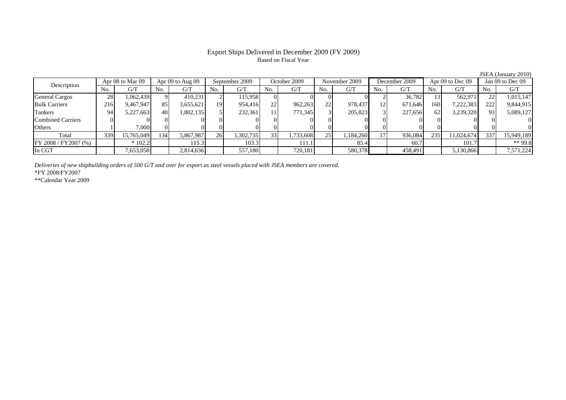# Export Ships Delivered in December 2009 (FY 2009) Based on Fiscal Year

JSEA (January 2010)

| Description              |     | Apr 08 to Mar 09 |                 | Apr $09$ to Aug $09$ |     | September 2009 |                 | October 2009 |     | November 2009 |     | December 2009 |     | Apr 09 to Dec 09 |     | Jan 09 to Dec 09 |  |
|--------------------------|-----|------------------|-----------------|----------------------|-----|----------------|-----------------|--------------|-----|---------------|-----|---------------|-----|------------------|-----|------------------|--|
|                          | No. | G/T              | No.             | G/T                  | No. | G/T            | N <sub>0</sub>  | G/T          | No. | G/T           | No. | G/T           | No. | G/T              | No. | G/T              |  |
| <b>General Cargos</b>    | 28  | 1,062,439        |                 | 410.231              |     | 115.958        |                 |              |     |               |     | 36,782        |     | 562,971          | 22  | 1,015,147        |  |
| <b>Bulk Carriers</b>     | 216 | 9,467,947        | 85              | 3,655,621            | 191 | 954,416        | 22              | 962,263      | 22  | 978,437       | 12  | 671,646       | 160 | 7,222,383        | 222 | 9,844,915        |  |
| Tankers                  | 94  | 5,227,663        | 40 <sup>1</sup> | 1,802,135            |     | 232,361        |                 | 771,345      |     | 205,823       |     | 227,656       | 62  | 3,239,320        | 931 | 5,089,127        |  |
| <b>Combined Carriers</b> |     |                  |                 |                      |     |                |                 |              |     |               |     |               |     |                  |     |                  |  |
| Others                   |     | 7.000            |                 |                      |     |                |                 |              |     |               |     |               |     |                  |     |                  |  |
| Total                    | 339 | 15,765,049       | 134             | 5,867,987            | 26  | 1,302,735      | 33 <sup>1</sup> | 1,733,608    | 25  | 1,184,260     |     | 936,084       | 235 | 11.024.674       | 337 | 15,949,189       |  |
| FY 2008 / FY 2007 (%)    |     | $*102.2$         |                 | 115.3                |     | 103.3          |                 | 111.1        |     | 85.4          |     | 60.7          |     | 101.7            |     | ** 99.8          |  |
| In CGT                   |     | 7,653,058        |                 | 2,814,636            |     | 557,180        |                 | 720,181      |     | 580,378       |     | 458,491       |     | 5,130,866        |     | 7,571,224        |  |

*Deliveries of new shipbuilding orders of 500 G/T and over for export as steel vessels placed with JSEA members are covered.*

\*FY 2008/FY2007

\*\*Calendar Year 2009